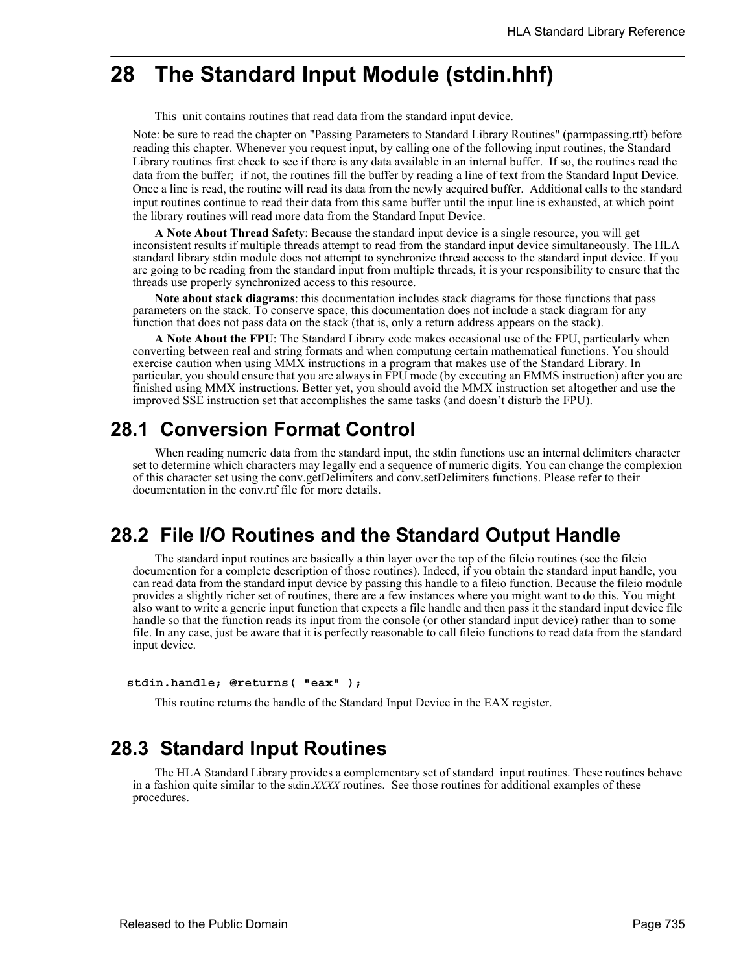# **28 The Standard Input Module (stdin.hhf)**

This unit contains routines that read data from the standard input device.

Note: be sure to read the chapter on "Passing Parameters to Standard Library Routines" (parmpassing.rtf) before reading this chapter. Whenever you request input, by calling one of the following input routines, the Standard Library routines first check to see if there is any data available in an internal buffer. If so, the routines read the data from the buffer; if not, the routines fill the buffer by reading a line of text from the Standard Input Device. Once a line is read, the routine will read its data from the newly acquired buffer. Additional calls to the standard input routines continue to read their data from this same buffer until the input line is exhausted, at which point the library routines will read more data from the Standard Input Device.

**A Note About Thread Safety**: Because the standard input device is a single resource, you will get inconsistent results if multiple threads attempt to read from the standard input device simultaneously. The HLA standard library stdin module does not attempt to synchronize thread access to the standard input device. If you are going to be reading from the standard input from multiple threads, it is your responsibility to ensure that the threads use properly synchronized access to this resource.

**Note about stack diagrams**: this documentation includes stack diagrams for those functions that pass parameters on the stack. To conserve space, this documentation does not include a stack diagram for any function that does not pass data on the stack (that is, only a return address appears on the stack).

**A Note About the FPU**: The Standard Library code makes occasional use of the FPU, particularly when converting between real and string formats and when computung certain mathematical functions. You should exercise caution when using MMX instructions in a program that makes use of the Standard Library. In particular, you should ensure that you are always in FPU mode (by executing an EMMS instruction) after you are finished using MMX instructions. Better yet, you should avoid the MMX instruction set altogether and use the improved SSE instruction set that accomplishes the same tasks (and doesn't disturb the FPU).

# **28.1 Conversion Format Control**

When reading numeric data from the standard input, the stdin functions use an internal delimiters character set to determine which characters may legally end a sequence of numeric digits. You can change the complexion of this character set using the conv.getDelimiters and conv.setDelimiters functions. Please refer to their documentation in the conv.rtf file for more details.

## **28.2 File I/O Routines and the Standard Output Handle**

The standard input routines are basically a thin layer over the top of the fileio routines (see the fileio documention for a complete description of those routines). Indeed, if you obtain the standard input handle, you can read data from the standard input device by passing this handle to a fileio function. Because the fileio module provides a slightly richer set of routines, there are a few instances where you might want to do this. You might also want to write a generic input function that expects a file handle and then pass it the standard input device file handle so that the function reads its input from the console (or other standard input device) rather than to some file. In any case, just be aware that it is perfectly reasonable to call fileio functions to read data from the standard input device.

#### **stdin.handle; @returns( "eax" );**

This routine returns the handle of the Standard Input Device in the EAX register.

## **28.3 Standard Input Routines**

The HLA Standard Library provides a complementary set of standard input routines. These routines behave in a fashion quite similar to the stdin.*XXXX* routines. See those routines for additional examples of these procedures.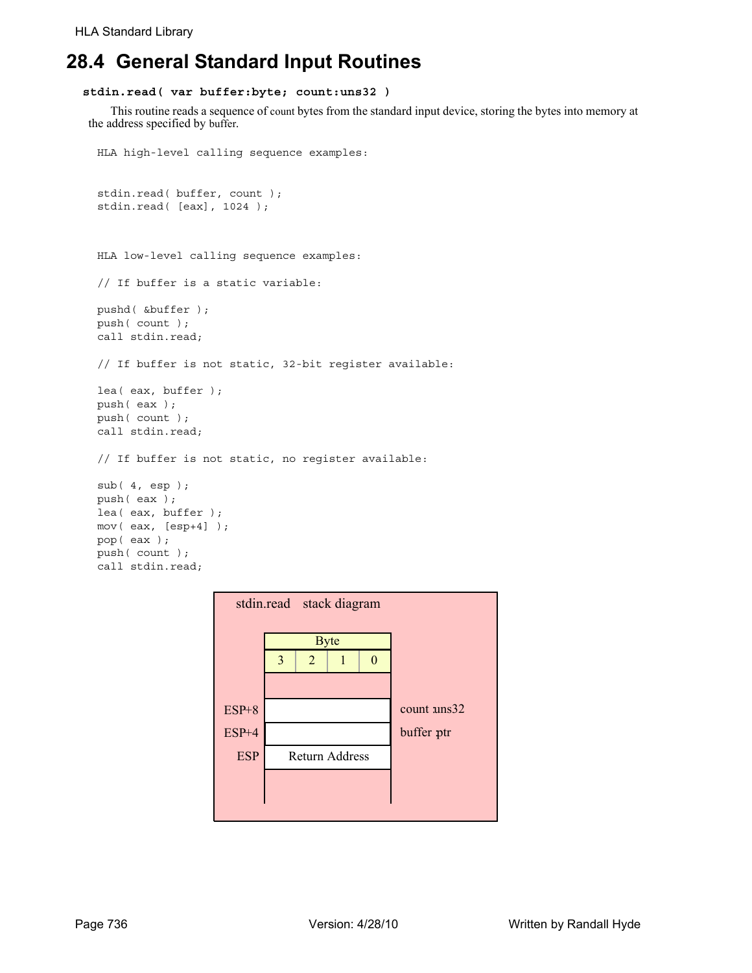# **28.4 General Standard Input Routines**

 **stdin.read( var buffer:byte; count:uns32 )**

This routine reads a sequence of count bytes from the standard input device, storing the bytes into memory at the address specified by buffer.

```
HLA high-level calling sequence examples:
stdin.read( buffer, count );
stdin.read( [eax], 1024 );
HLA low-level calling sequence examples:
// If buffer is a static variable:
pushd( &buffer );
push( count );
call stdin.read;
// If buffer is not static, 32-bit register available:
lea( eax, buffer );
push( eax );
push( count );
call stdin.read;
// If buffer is not static, no register available:
sub( 4, esp );
push( eax );
lea( eax, buffer );
mov( eax, [esp+4] );
pop( eax );
push( count );
call stdin.read;
```

| stdin.read stack diagram |                       |   |              |          |             |
|--------------------------|-----------------------|---|--------------|----------|-------------|
|                          | <b>Byte</b>           |   |              |          |             |
|                          | 3                     | 2 | $\mathbf{1}$ | $\theta$ |             |
|                          |                       |   |              |          |             |
| $ESP+8$                  |                       |   |              |          | count uns32 |
| ESP+4                    |                       |   |              |          | buffer ptr  |
| <b>ESP</b>               | <b>Return Address</b> |   |              |          |             |
|                          |                       |   |              |          |             |
|                          |                       |   |              |          |             |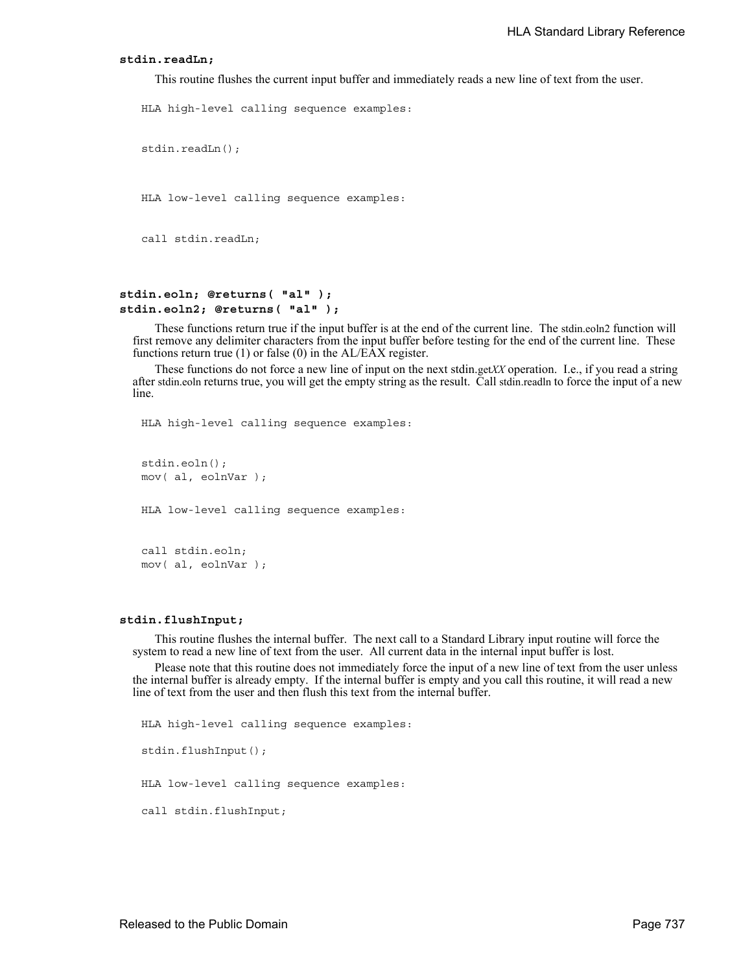#### **stdin.readLn;**

This routine flushes the current input buffer and immediately reads a new line of text from the user.

HLA high-level calling sequence examples: stdin.readLn(); HLA low-level calling sequence examples: call stdin.readLn;

### **stdin.eoln; @returns( "al" ); stdin.eoln2; @returns( "al" );**

These functions return true if the input buffer is at the end of the current line. The stdin.eoln2 function will first remove any delimiter characters from the input buffer before testing for the end of the current line. These functions return true (1) or false (0) in the AL/EAX register.

These functions do not force a new line of input on the next stdin.get*XX* operation. I.e., if you read a string after stdin.eoln returns true, you will get the empty string as the result. Call stdin.readln to force the input of a new line.

HLA high-level calling sequence examples:

stdin.eoln(); mov( al, eolnVar ); HLA low-level calling sequence examples: call stdin.eoln; mov( al, eolnVar );

#### **stdin.flushInput;**

This routine flushes the internal buffer. The next call to a Standard Library input routine will force the system to read a new line of text from the user. All current data in the internal input buffer is lost.

Please note that this routine does not immediately force the input of a new line of text from the user unless the internal buffer is already empty. If the internal buffer is empty and you call this routine, it will read a new line of text from the user and then flush this text from the internal buffer.

HLA high-level calling sequence examples:

stdin.flushInput();

HLA low-level calling sequence examples:

call stdin.flushInput;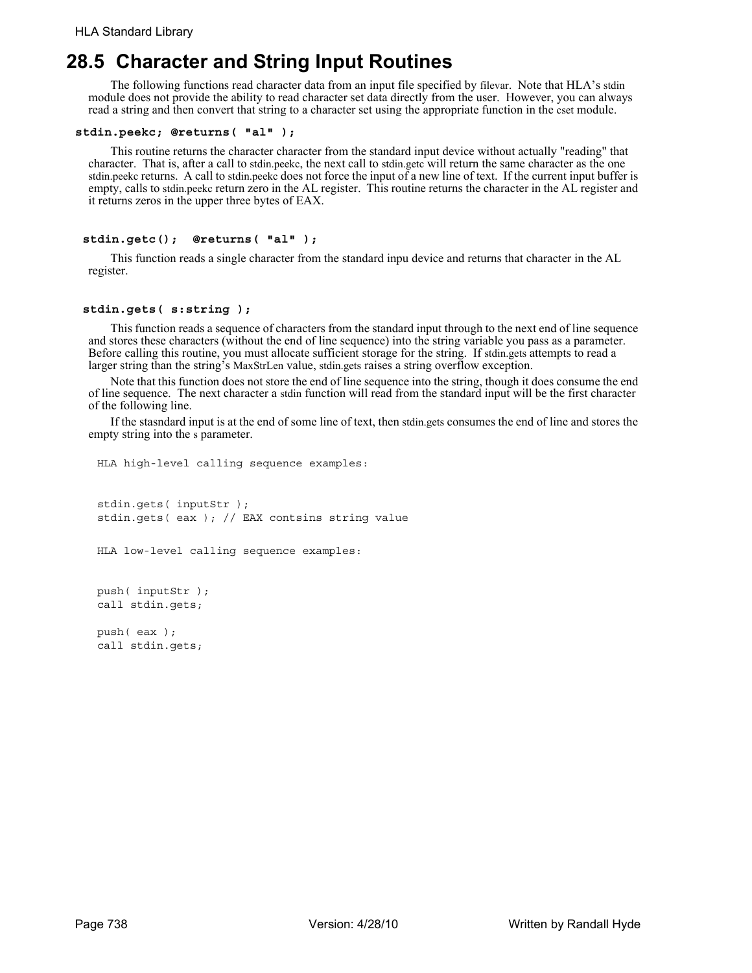# **28.5 Character and String Input Routines**

The following functions read character data from an input file specified by filevar. Note that HLA's stdin module does not provide the ability to read character set data directly from the user. However, you can always read a string and then convert that string to a character set using the appropriate function in the cset module.

#### **stdin.peekc; @returns( "al" );**

This routine returns the character character from the standard input device without actually "reading" that character. That is, after a call to stdin.peekc, the next call to stdin.getc will return the same character as the one stdin.peekc returns. A call to stdin.peekc does not force the input of a new line of text. If the current input buffer is empty, calls to stdin.peekc return zero in the AL register. This routine returns the character in the AL register and it returns zeros in the upper three bytes of EAX.

#### **stdin.getc(); @returns( "al" );**

This function reads a single character from the standard inpu device and returns that character in the AL register.

#### **stdin.gets( s:string );**

This function reads a sequence of characters from the standard input through to the next end of line sequence and stores these characters (without the end of line sequence) into the string variable you pass as a parameter. Before calling this routine, you must allocate sufficient storage for the string. If stdin.gets attempts to read a larger string than the string's MaxStrLen value, stdin.gets raises a string overflow exception.

Note that this function does not store the end of line sequence into the string, though it does consume the end of line sequence. The next character a stdin function will read from the standard input will be the first character of the following line.

If the stasndard input is at the end of some line of text, then stdin.gets consumes the end of line and stores the empty string into the s parameter.

```
HLA high-level calling sequence examples:
stdin.gets( inputStr );
stdin.gets( eax ); // EAX contsins string value
HLA low-level calling sequence examples:
push( inputStr );
call stdin.gets;
push( eax );
call stdin.gets;
```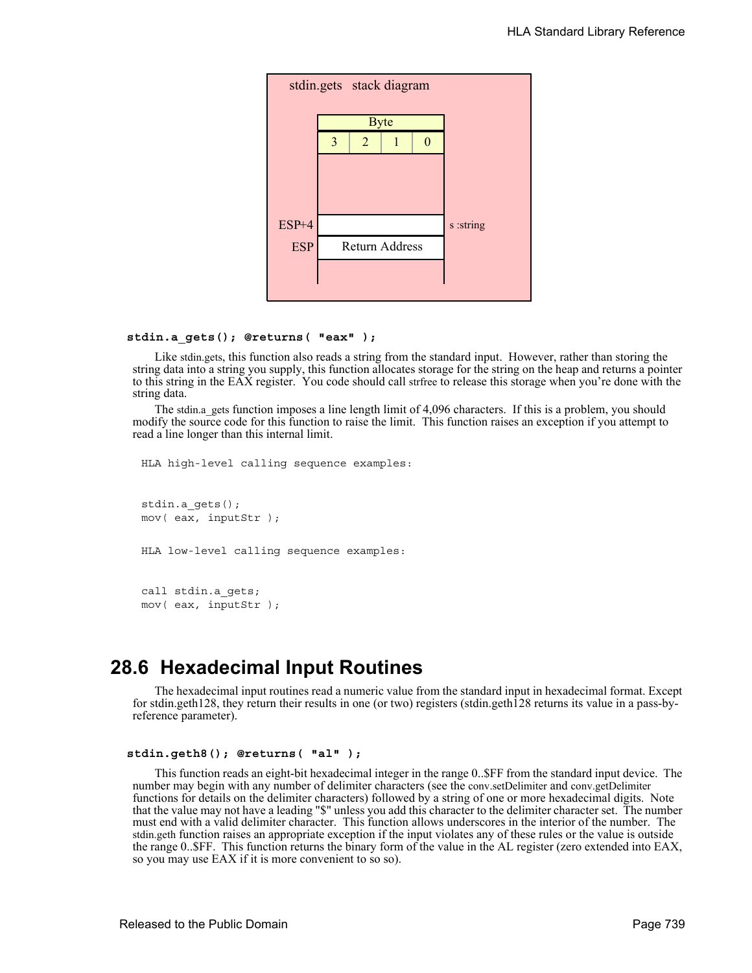

#### **stdin.a\_gets(); @returns( "eax" );**

Like stdin.gets, this function also reads a string from the standard input. However, rather than storing the string data into a string you supply, this function allocates storage for the string on the heap and returns a pointer to this string in the EAX register. You code should call strfree to release this storage when you're done with the string data.

The stdin.a gets function imposes a line length limit of 4,096 characters. If this is a problem, you should modify the source code for this function to raise the limit. This function raises an exception if you attempt to read a line longer than this internal limit.

```
HLA high-level calling sequence examples:
stdin.a_gets();
mov( eax, inputStr );
HLA low-level calling sequence examples:
call stdin.a_gets;
mov( eax, inputStr );
```
## **28.6 Hexadecimal Input Routines**

The hexadecimal input routines read a numeric value from the standard input in hexadecimal format. Except for stdin.geth128, they return their results in one (or two) registers (stdin.geth128 returns its value in a pass-byreference parameter).

```
 stdin.geth8(); @returns( "al" );
```
This function reads an eight-bit hexadecimal integer in the range 0..\$FF from the standard input device. The number may begin with any number of delimiter characters (see the conv.setDelimiter and conv.getDelimiter functions for details on the delimiter characters) followed by a string of one or more hexadecimal digits. Note that the value may not have a leading "\$" unless you add this character to the delimiter character set. The number must end with a valid delimiter character. This function allows underscores in the interior of the number. The stdin.geth function raises an appropriate exception if the input violates any of these rules or the value is outside the range 0..\$FF. This function returns the binary form of the value in the AL register (zero extended into EAX, so you may use EAX if it is more convenient to so so).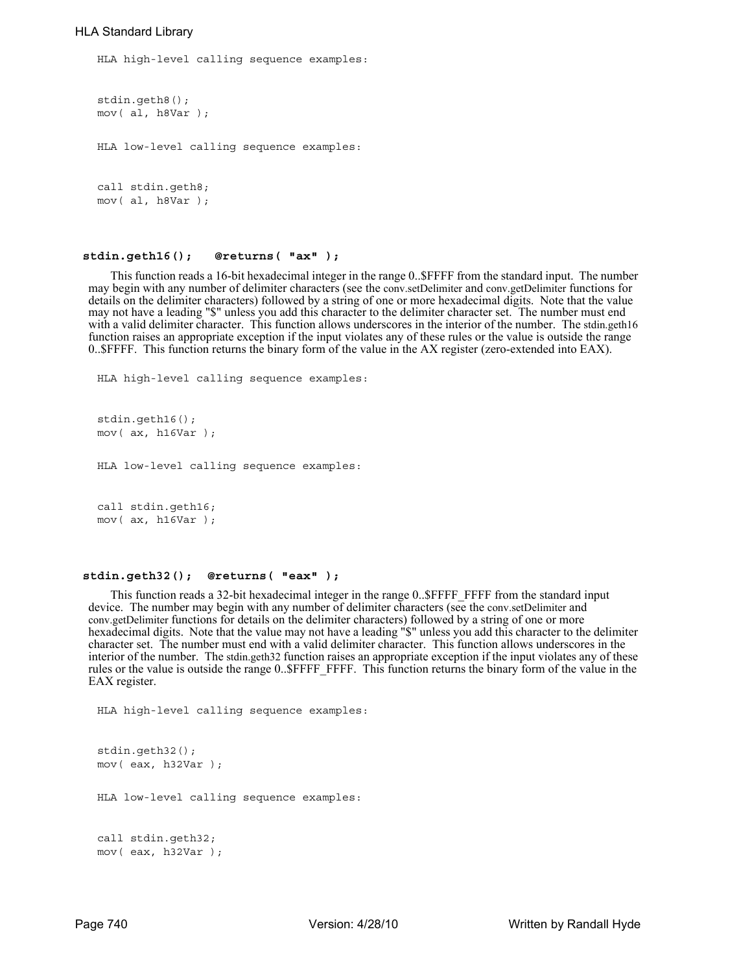#### HLA Standard Library

HLA high-level calling sequence examples:

```
stdin.geth8();
mov( al, h8Var );
HLA low-level calling sequence examples:
call stdin.geth8;
mov( al, h8Var );
```
#### **stdin.geth16(); @returns( "ax" );**

This function reads a 16-bit hexadecimal integer in the range 0..\$FFFF from the standard input. The number may begin with any number of delimiter characters (see the conv.setDelimiter and conv.getDelimiter functions for details on the delimiter characters) followed by a string of one or more hexadecimal digits. Note that the value may not have a leading "\$" unless you add this character to the delimiter character set. The number must end with a valid delimiter character. This function allows underscores in the interior of the number. The stdin.geth16 function raises an appropriate exception if the input violates any of these rules or the value is outside the range 0..\$FFFF. This function returns the binary form of the value in the AX register (zero-extended into EAX).

```
HLA high-level calling sequence examples:
stdin.geth16();
mov( ax, h16Var );
HLA low-level calling sequence examples:
call stdin.geth16;
mov( ax, h16Var );
```
### **stdin.geth32(); @returns( "eax" );**

This function reads a 32-bit hexadecimal integer in the range 0..\$FFFF\_FFFF from the standard input device. The number may begin with any number of delimiter characters (see the conv.setDelimiter and conv.getDelimiter functions for details on the delimiter characters) followed by a string of one or more hexadecimal digits. Note that the value may not have a leading "\$" unless you add this character to the delimiter character set. The number must end with a valid delimiter character. This function allows underscores in the interior of the number. The stdin.geth32 function raises an appropriate exception if the input violates any of these rules or the value is outside the range 0..\$FFFF\_FFFF. This function returns the binary form of the value in the EAX register.

```
HLA high-level calling sequence examples:
```

```
stdin.geth32();
mov( eax, h32Var );
HLA low-level calling sequence examples:
call stdin.geth32;
mov( eax, h32Var );
```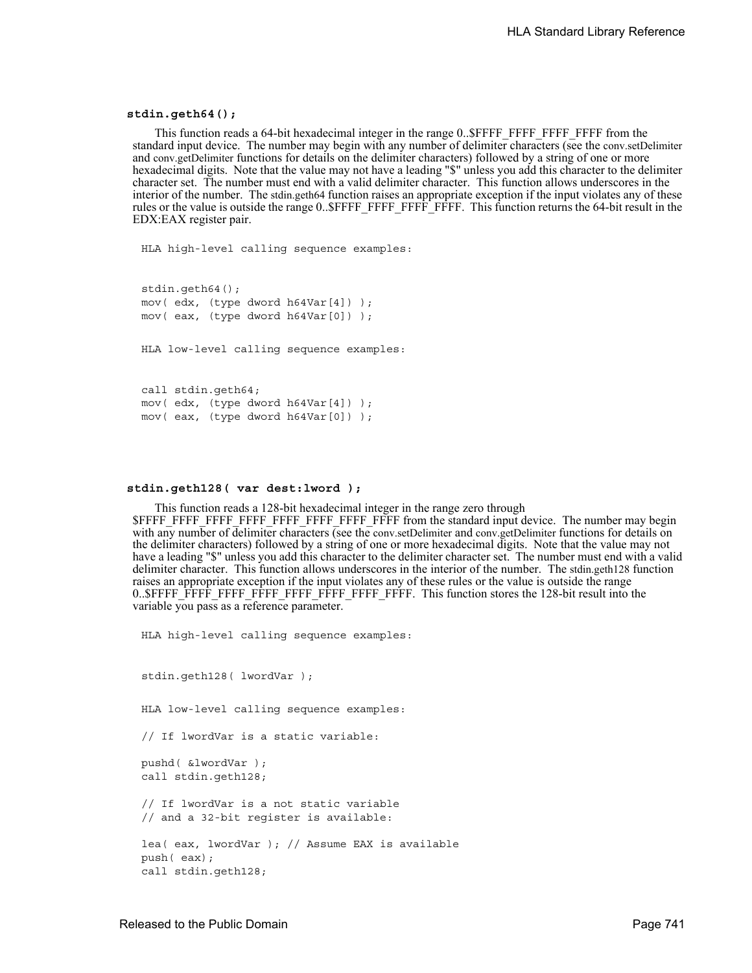#### **stdin.geth64();**

This function reads a 64-bit hexadecimal integer in the range 0..\$FFFF\_FFFF\_FFFF FFFF from the standard input device. The number may begin with any number of delimiter characters (see the conv.setDelimiter and conv.getDelimiter functions for details on the delimiter characters) followed by a string of one or more hexadecimal digits. Note that the value may not have a leading "\$" unless you add this character to the delimiter character set. The number must end with a valid delimiter character. This function allows underscores in the interior of the number. The stdin.geth64 function raises an appropriate exception if the input violates any of these rules or the value is outside the range 0..\$FFFF\_FFFF\_FFFF\_FFFF. This function returns the 64-bit result in the EDX:EAX register pair.

HLA high-level calling sequence examples:

stdin.geth64(); mov( edx, (type dword h64Var[4]) ); mov( eax, (type dword h64Var[0]) ); HLA low-level calling sequence examples: call stdin.geth64; mov( edx, (type dword h64Var[4]) ); mov( eax, (type dword h64Var[0]) );

#### **stdin.geth128( var dest:lword );**

This function reads a 128-bit hexadecimal integer in the range zero through \$FFFF\_FFFF\_FFFF\_FFFF\_FFFF\_FFFF\_FFFF\_FFFF from the standard input device. The number may begin with any number of delimiter characters (see the conv.setDelimiter and conv.getDelimiter functions for details on the delimiter characters) followed by a string of one or more hexadecimal digits. Note that the value may not have a leading "\$" unless you add this character to the delimiter character set. The number must end with a valid delimiter character. This function allows underscores in the interior of the number. The stdin.geth128 function raises an appropriate exception if the input violates any of these rules or the value is outside the range 0..\$FFFF\_FFFF\_FFFF\_FFFF\_FFFF\_FFFF\_FFFF\_FFFF. This function stores the 128-bit result into the variable you pass as a reference parameter.

HLA high-level calling sequence examples:

stdin.geth128( lwordVar ); HLA low-level calling sequence examples: // If lwordVar is a static variable: pushd( &lwordVar ); call stdin.geth128; // If lwordVar is a not static variable // and a 32-bit register is available: lea( eax, lwordVar ); // Assume EAX is available push( eax); call stdin.geth128;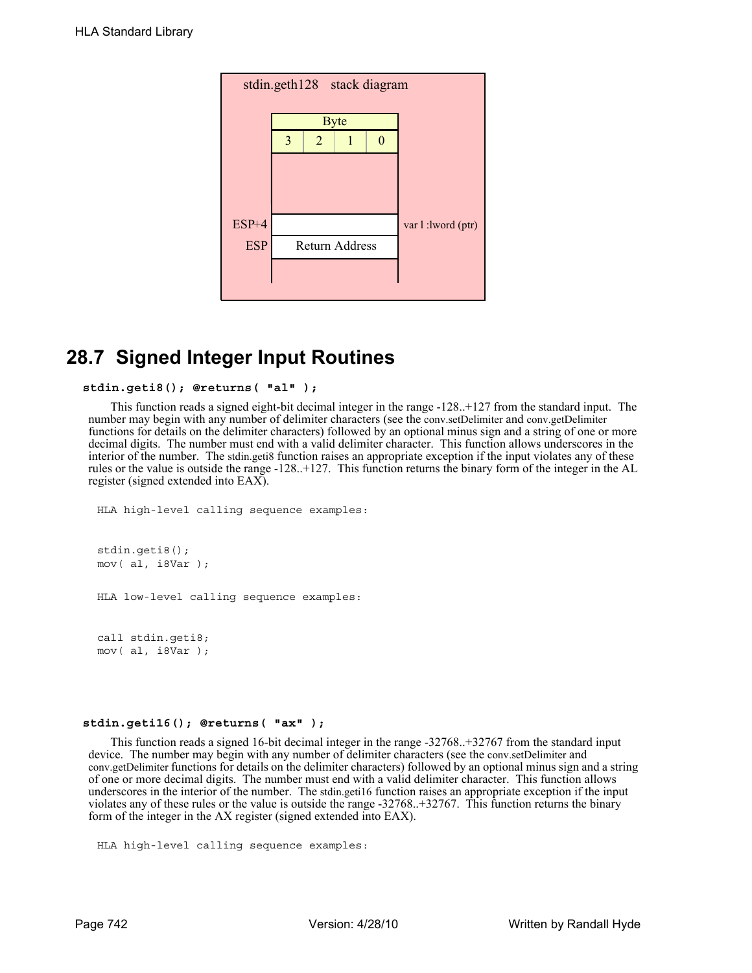

# **28.7 Signed Integer Input Routines**

```
 stdin.geti8(); @returns( "al" );
```
This function reads a signed eight-bit decimal integer in the range -128..+127 from the standard input. The number may begin with any number of delimiter characters (see the conv.setDelimiter and conv.getDelimiter functions for details on the delimiter characters) followed by an optional minus sign and a string of one or more decimal digits. The number must end with a valid delimiter character. This function allows underscores in the interior of the number. The stdin.geti8 function raises an appropriate exception if the input violates any of these rules or the value is outside the range -128..+127. This function returns the binary form of the integer in the AL register (signed extended into EAX).

HLA high-level calling sequence examples:

```
stdin.geti8();
mov( al, i8Var );
HLA low-level calling sequence examples:
call stdin.geti8;
mov( al, i8Var );
```
### **stdin.geti16(); @returns( "ax" );**

This function reads a signed 16-bit decimal integer in the range -32768..+32767 from the standard input device. The number may begin with any number of delimiter characters (see the conv.setDelimiter and conv.getDelimiter functions for details on the delimiter characters) followed by an optional minus sign and a string of one or more decimal digits. The number must end with a valid delimiter character. This function allows underscores in the interior of the number. The stdin.geti16 function raises an appropriate exception if the input violates any of these rules or the value is outside the range -32768..+32767. This function returns the binary form of the integer in the AX register (signed extended into EAX).

```
HLA high-level calling sequence examples:
```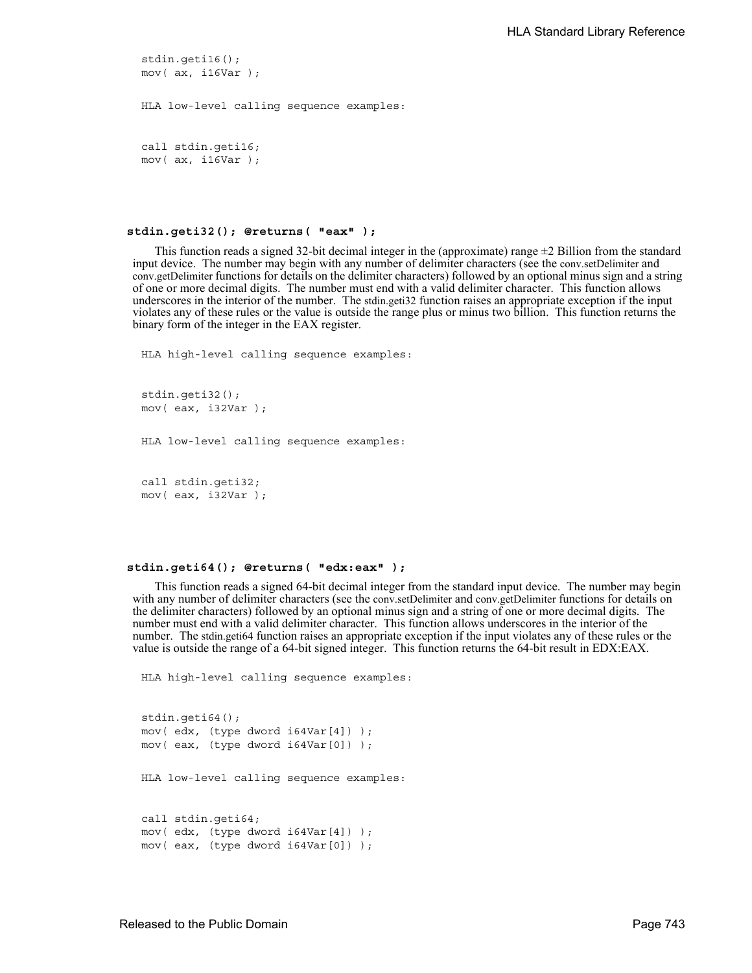```
stdin.geti16();
mov( ax, i16Var );
HLA low-level calling sequence examples:
call stdin.geti16;
mov( ax, i16Var );
```
#### **stdin.geti32(); @returns( "eax" );**

This function reads a signed 32-bit decimal integer in the (approximate) range  $\pm 2$  Billion from the standard input device. The number may begin with any number of delimiter characters (see the conv.setDelimiter and conv.getDelimiter functions for details on the delimiter characters) followed by an optional minus sign and a string of one or more decimal digits. The number must end with a valid delimiter character. This function allows underscores in the interior of the number. The stdin.geti32 function raises an appropriate exception if the input violates any of these rules or the value is outside the range plus or minus two billion. This function returns the binary form of the integer in the EAX register.

```
HLA high-level calling sequence examples:
stdin.geti32();
mov( eax, i32Var );
HLA low-level calling sequence examples:
call stdin.geti32;
mov( eax, i32Var );
```
#### **stdin.geti64(); @returns( "edx:eax" );**

This function reads a signed 64-bit decimal integer from the standard input device. The number may begin with any number of delimiter characters (see the conv.setDelimiter and conv.getDelimiter functions for details on the delimiter characters) followed by an optional minus sign and a string of one or more decimal digits. The number must end with a valid delimiter character. This function allows underscores in the interior of the number. The stdin.geti64 function raises an appropriate exception if the input violates any of these rules or the value is outside the range of a 64-bit signed integer. This function returns the 64-bit result in EDX:EAX.

HLA high-level calling sequence examples: stdin.geti64(); mov(  $edx$ , (type dword  $i64Var[4])$  ); mov( eax, (type dword i64Var[0]) ); HLA low-level calling sequence examples: call stdin.geti64; mov( edx, (type dword i64Var[4]) ); mov( eax, (type dword i64Var[0]) );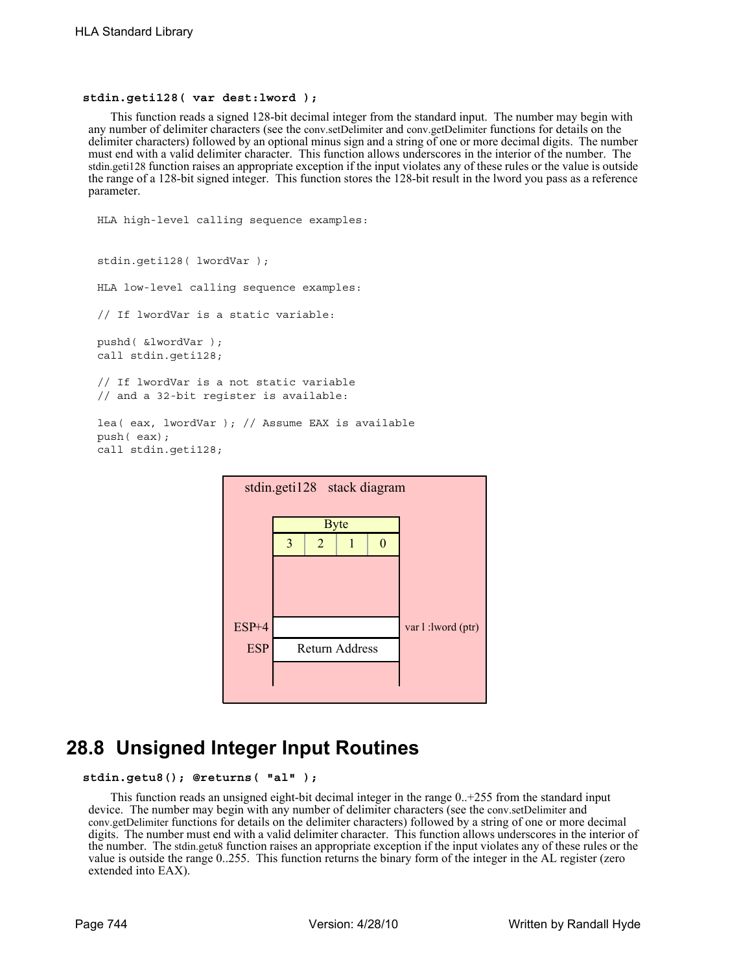### **stdin.geti128( var dest:lword );**

This function reads a signed 128-bit decimal integer from the standard input. The number may begin with any number of delimiter characters (see the conv.setDelimiter and conv.getDelimiter functions for details on the delimiter characters) followed by an optional minus sign and a string of one or more decimal digits. The number must end with a valid delimiter character. This function allows underscores in the interior of the number. The stdin.geti128 function raises an appropriate exception if the input violates any of these rules or the value is outside the range of a 128-bit signed integer. This function stores the 128-bit result in the lword you pass as a reference parameter.

```
HLA high-level calling sequence examples:
stdin.geti128( lwordVar );
HLA low-level calling sequence examples:
// If lwordVar is a static variable:
pushd( &lwordVar );
call stdin.geti128;
// If lwordVar is a not static variable
// and a 32-bit register is available:
lea( eax, lwordVar ); // Assume EAX is available
push( eax);
call stdin.geti128;
```


## **28.8 Unsigned Integer Input Routines**

### **stdin.getu8(); @returns( "al" );**

This function reads an unsigned eight-bit decimal integer in the range 0..+255 from the standard input device. The number may begin with any number of delimiter characters (see the conv.setDelimiter and conv.getDelimiter functions for details on the delimiter characters) followed by a string of one or more decimal digits. The number must end with a valid delimiter character. This function allows underscores in the interior of the number. The stdin.getu8 function raises an appropriate exception if the input violates any of these rules or the value is outside the range 0..255. This function returns the binary form of the integer in the AL register (zero extended into EAX).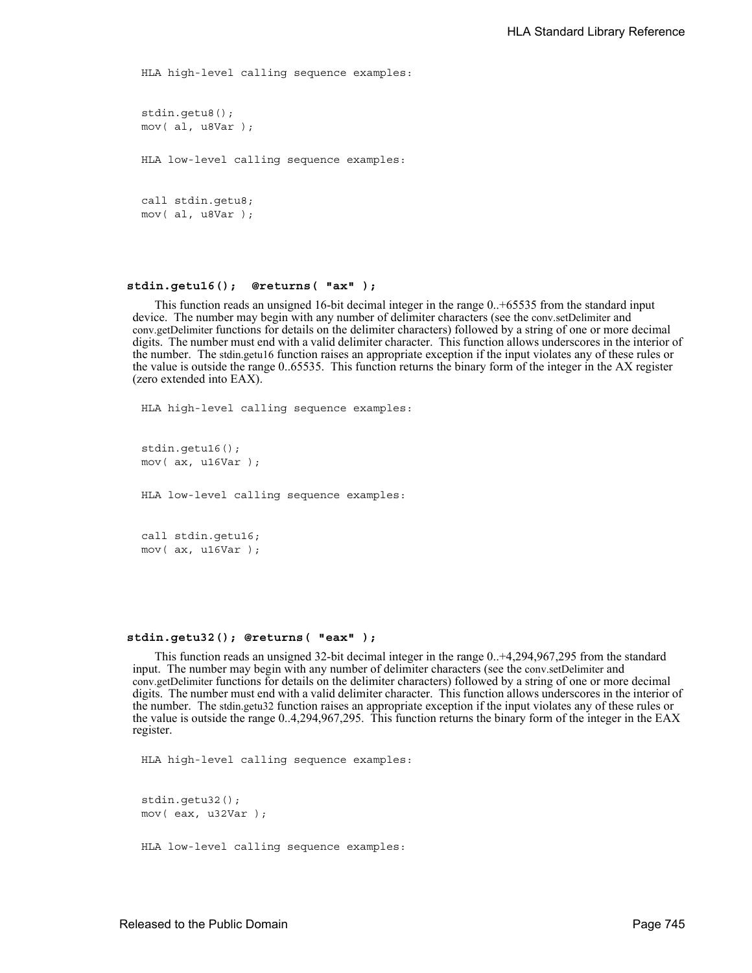```
HLA high-level calling sequence examples:
stdin.getu8();
mov( al, u8Var );
HLA low-level calling sequence examples:
call stdin.getu8;
mov( al, u8Var );
```
#### **stdin.getu16(); @returns( "ax" );**

This function reads an unsigned 16-bit decimal integer in the range 0..+65535 from the standard input device. The number may begin with any number of delimiter characters (see the conv.setDelimiter and conv.getDelimiter functions for details on the delimiter characters) followed by a string of one or more decimal digits. The number must end with a valid delimiter character. This function allows underscores in the interior of the number. The stdin.getu16 function raises an appropriate exception if the input violates any of these rules or the value is outside the range 0..65535. This function returns the binary form of the integer in the AX register (zero extended into EAX).

HLA high-level calling sequence examples:

```
stdin.getu16();
mov( ax, u16Var );
HLA low-level calling sequence examples:
call stdin.getu16;
mov( ax, u16Var );
```
#### **stdin.getu32(); @returns( "eax" );**

This function reads an unsigned 32-bit decimal integer in the range 0..+4,294,967,295 from the standard input. The number may begin with any number of delimiter characters (see the conv.setDelimiter and conv.getDelimiter functions for details on the delimiter characters) followed by a string of one or more decimal digits. The number must end with a valid delimiter character. This function allows underscores in the interior of the number. The stdin.getu32 function raises an appropriate exception if the input violates any of these rules or the value is outside the range 0..4,294,967,295. This function returns the binary form of the integer in the EAX register.

HLA high-level calling sequence examples:

```
stdin.getu32();
mov( eax, u32Var );
HLA low-level calling sequence examples:
```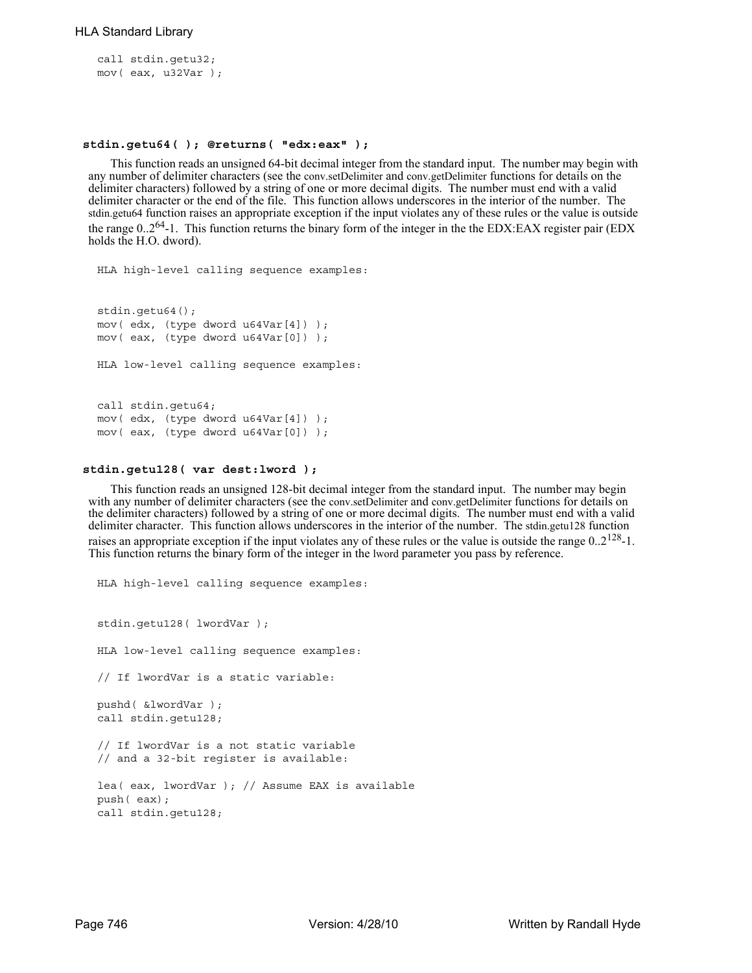```
call stdin.getu32;
mov( eax, u32Var );
```
#### **stdin.getu64( ); @returns( "edx:eax" );**

This function reads an unsigned 64-bit decimal integer from the standard input. The number may begin with any number of delimiter characters (see the conv.setDelimiter and conv.getDelimiter functions for details on the delimiter characters) followed by a string of one or more decimal digits. The number must end with a valid delimiter character or the end of the file. This function allows underscores in the interior of the number. The stdin.getu64 function raises an appropriate exception if the input violates any of these rules or the value is outside the range  $0.2^{64}$ -1. This function returns the binary form of the integer in the the EDX: EAX register pair (EDX) holds the H.O. dword).

HLA high-level calling sequence examples:

stdin.getu64(); mov( edx, (type dword u64Var[4]) ); mov( eax, (type dword u64Var[0]) ); HLA low-level calling sequence examples: call stdin.getu64; mov( edx, (type dword u64Var[4]) ); mov( eax, (type dword u64Var[0]) );

#### **stdin.getu128( var dest:lword );**

This function reads an unsigned 128-bit decimal integer from the standard input. The number may begin with any number of delimiter characters (see the conv.setDelimiter and conv.getDelimiter functions for details on the delimiter characters) followed by a string of one or more decimal digits. The number must end with a valid delimiter character. This function allows underscores in the interior of the number. The stdin.getu128 function raises an appropriate exception if the input violates any of these rules or the value is outside the range  $0.2^{128}$ -1. This function returns the binary form of the integer in the lword parameter you pass by reference.

```
HLA high-level calling sequence examples:
stdin.getu128( lwordVar );
HLA low-level calling sequence examples:
// If lwordVar is a static variable:
pushd( &lwordVar );
call stdin.getu128;
// If lwordVar is a not static variable
// and a 32-bit register is available:
lea( eax, lwordVar ); // Assume EAX is available
push( eax);
call stdin.getu128;
```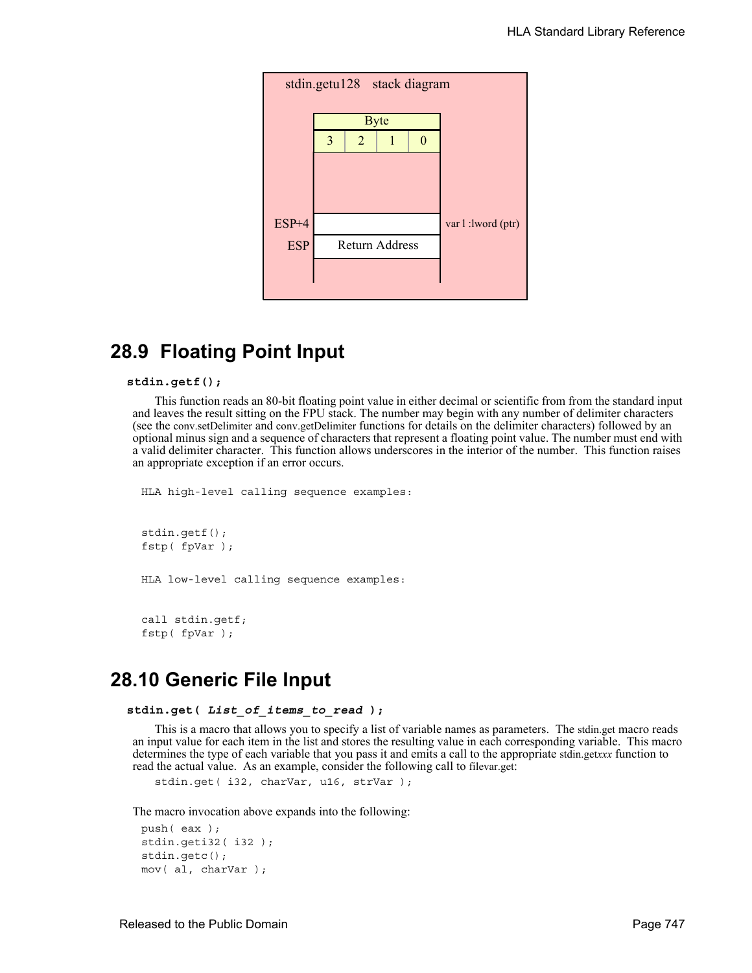

## **28.9 Floating Point Input**

#### **stdin.getf();**

This function reads an 80-bit floating point value in either decimal or scientific from from the standard input and leaves the result sitting on the FPU stack. The number may begin with any number of delimiter characters (see the conv.setDelimiter and conv.getDelimiter functions for details on the delimiter characters) followed by an optional minus sign and a sequence of characters that represent a floating point value. The number must end with a valid delimiter character. This function allows underscores in the interior of the number. This function raises an appropriate exception if an error occurs.

```
HLA high-level calling sequence examples:
stdin.getf();
fstp( fpVar );
HLA low-level calling sequence examples:
call stdin.getf;
fstp( fpVar );
```
## **28.10 Generic File Input**

```
 stdin.get( List_of_items_to_read );
```
This is a macro that allows you to specify a list of variable names as parameters. The stdin.get macro reads an input value for each item in the list and stores the resulting value in each corresponding variable. This macro determines the type of each variable that you pass it and emits a call to the appropriate stdin.get*xxx* function to read the actual value. As an example, consider the following call to filevar.get:

```
stdin.get( i32, charVar, u16, strVar );
```
The macro invocation above expands into the following:

```
push( eax );
stdin.geti32( i32 );
stdin.getc();
mov( al, charVar );
```